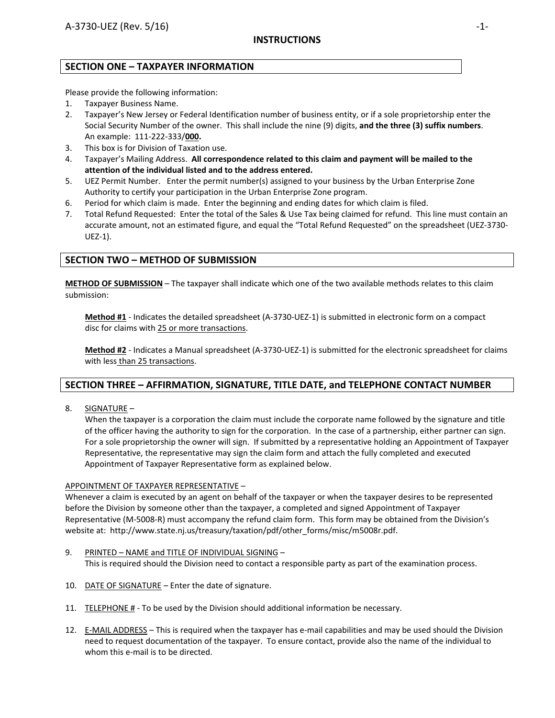# **SECTION ONE – TAXPAYER INFORMATION**

Please provide the following information:

- 1. Taxpayer Business Name.
- 2. Taxpayer's New Jersey or Federal Identification number of business entity, or if a sole proprietorship enter the Social Security Number of the owner. This shall include the nine (9) digits, **and the three (3) suffix numbers**. An example: 111‐222‐333/**000.**
- 3. This box is for Division of Taxation use.
- 4. Taxpayer's Mailing Address. **All correspondence related to this claim and payment will be mailed to the attention of the individual listed and to the address entered.**
- 5. UEZ Permit Number. Enter the permit number(s) assigned to your business by the Urban Enterprise Zone Authority to certify your participation in the Urban Enterprise Zone program.
- 6. Period for which claim is made. Enter the beginning and ending dates for which claim is filed.
- 7. Total Refund Requested: Enter the total of the Sales & Use Tax being claimed for refund. This line must contain an accurate amount, not an estimated figure, and equal the "Total Refund Requested" on the spreadsheet (UEZ‐3730‐ UEZ‐1).

# **SECTION TWO – METHOD OF SUBMISSION**

**METHOD OF SUBMISSION** – The taxpayer shall indicate which one of the two available methods relates to this claim submission:

**Method #1** ‐ Indicates the detailed spreadsheet (A‐3730‐UEZ‐1) is submitted in electronic form on a compact disc for claims with 25 or more transactions.

**Method #2** ‐ Indicates a Manual spreadsheet (A‐3730‐UEZ‐1) is submitted for the electronic spreadsheet for claims with less than 25 transactions.

# **SECTION THREE – AFFIRMATION, SIGNATURE, TITLE DATE, and TELEPHONE CONTACT NUMBER**

8. SIGNATURE –

When the taxpayer is a corporation the claim must include the corporate name followed by the signature and title of the officer having the authority to sign for the corporation. In the case of a partnership, either partner can sign. For a sole proprietorship the owner will sign. If submitted by a representative holding an Appointment of Taxpayer Representative, the representative may sign the claim form and attach the fully completed and executed Appointment of Taxpayer Representative form as explained below.

### APPOINTMENT OF TAXPAYER REPRESENTATIVE –

Whenever a claim is executed by an agent on behalf of the taxpayer or when the taxpayer desires to be represented before the Division by someone other than the taxpayer, a completed and signed Appointment of Taxpayer Representative (M‐5008‐R) must accompany the refund claim form. This form may be obtained from the Division's website at: http://www.state.nj.us/treasury/taxation/pdf/other\_forms/misc/m5008r.pdf.

- 9. PRINTED NAME and TITLE OF INDIVIDUAL SIGNING This is required should the Division need to contact a responsible party as part of the examination process.
- 10. DATE OF SIGNATURE Enter the date of signature.
- 11. TELEPHONE # To be used by the Division should additional information be necessary.
- 12. E-MAIL ADDRESS This is required when the taxpayer has e-mail capabilities and may be used should the Division need to request documentation of the taxpayer. To ensure contact, provide also the name of the individual to whom this e-mail is to be directed.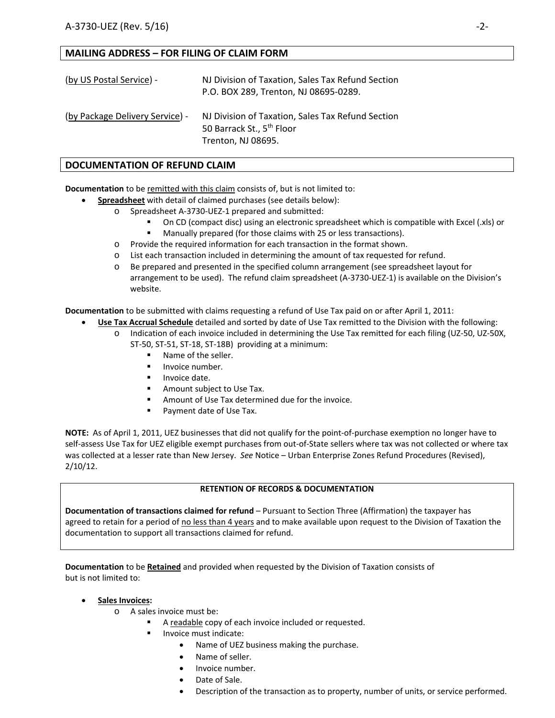# **MAILING ADDRESS – FOR FILING OF CLAIM FORM**

| (by US Postal Service) -        | NJ Division of Taxation, Sales Tax Refund Section<br>P.O. BOX 289, Trenton, NJ 08695-0289.                       |  |
|---------------------------------|------------------------------------------------------------------------------------------------------------------|--|
| (by Package Delivery Service) - | NJ Division of Taxation, Sales Tax Refund Section<br>50 Barrack St., 5 <sup>th</sup> Floor<br>Trenton, NJ 08695. |  |

# **DOCUMENTATION OF REFUND CLAIM**

**Documentation** to be remitted with this claim consists of, but is not limited to:

- **Spreadsheet** with detail of claimed purchases (see details below):
	- o Spreadsheet A‐3730‐UEZ‐1 prepared and submitted:
		- On CD (compact disc) using an electronic spreadsheet which is compatible with Excel (.xls) or
		- **Manually prepared (for those claims with 25 or less transactions).**
	- o Provide the required information for each transaction in the format shown.
	- o List each transaction included in determining the amount of tax requested for refund.
	- o Be prepared and presented in the specified column arrangement (see spreadsheet layout for arrangement to be used). The refund claim spreadsheet (A‐3730‐UEZ‐1) is available on the Division's website.

**Documentation** to be submitted with claims requesting a refund of Use Tax paid on or after April 1, 2011:

- **Use Tax Accrual Schedule** detailed and sorted by date of Use Tax remitted to the Division with the following:
	- o Indication of each invoice included in determining the Use Tax remitted for each filing (UZ‐50, UZ‐50X, ST‐50, ST‐51, ST‐18, ST‐18B) providing at a minimum:
		- **Name of the seller.**
		- $\blacksquare$  Invoice number.
		- **Invoice date.**
		- **Amount subject to Use Tax.**
		- Amount of Use Tax determined due for the invoice.
		- Payment date of Use Tax.

**NOTE:** As of April 1, 2011, UEZ businesses that did not qualify for the point‐of‐purchase exemption no longer have to self-assess Use Tax for UEZ eligible exempt purchases from out-of-State sellers where tax was not collected or where tax was collected at a lesser rate than New Jersey. *See* Notice – Urban Enterprise Zones Refund Procedures (Revised), 2/10/12.

### **RETENTION OF RECORDS & DOCUMENTATION**

**Documentation of transactions claimed for refund** – Pursuant to Section Three (Affirmation) the taxpayer has agreed to retain for a period of no less than 4 years and to make available upon request to the Division of Taxation the documentation to support all transactions claimed for refund.

**Documentation** to be **Retained** and provided when requested by the Division of Taxation consists of but is not limited to:

**Sales Invoices:**

- o A sales invoice must be:
	- A readable copy of each invoice included or requested.
	- Invoice must indicate:
		- Name of UEZ business making the purchase.
		- Name of seller.
		- Invoice number.
		- Date of Sale.
		- Description of the transaction as to property, number of units, or service performed.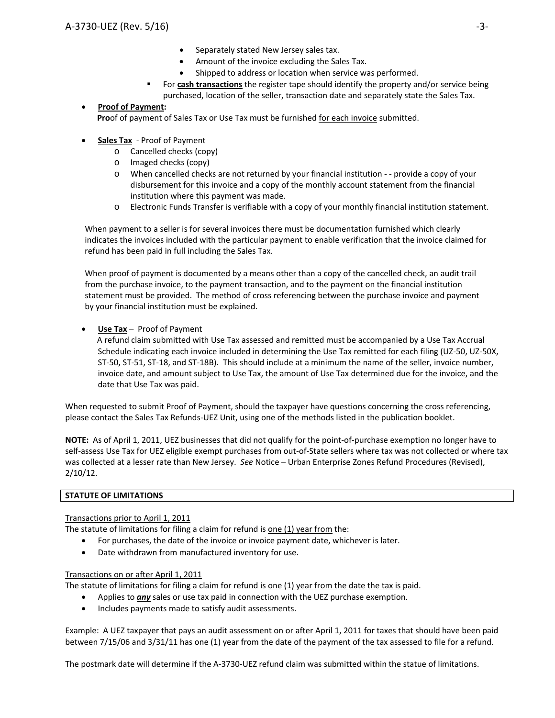- Separately stated New Jersey sales tax.
- Amount of the invoice excluding the Sales Tax.
- Shipped to address or location when service was performed.
- For **cash transactions** the register tape should identify the property and/or service being purchased, location of the seller, transaction date and separately state the Sales Tax.

# **Proof of Payment:**

 **Pro**of of payment of Sales Tax or Use Tax must be furnished for each invoice submitted.

# **Sales Tax** ‐ Proof of Payment

- o Cancelled checks (copy)
- o Imaged checks (copy)
- o When cancelled checks are not returned by your financial institution ‐ ‐ provide a copy of your disbursement for this invoice and a copy of the monthly account statement from the financial institution where this payment was made.
- o Electronic Funds Transfer is verifiable with a copy of your monthly financial institution statement.

When payment to a seller is for several invoices there must be documentation furnished which clearly indicates the invoices included with the particular payment to enable verification that the invoice claimed for refund has been paid in full including the Sales Tax.

When proof of payment is documented by a means other than a copy of the cancelled check, an audit trail from the purchase invoice, to the payment transaction, and to the payment on the financial institution statement must be provided. The method of cross referencing between the purchase invoice and payment by your financial institution must be explained.

# **Use Tax** – Proof of Payment

 A refund claim submitted with Use Tax assessed and remitted must be accompanied by a Use Tax Accrual Schedule indicating each invoice included in determining the Use Tax remitted for each filing (UZ‐50, UZ‐50X, ST-50, ST-51, ST-18, and ST-18B). This should include at a minimum the name of the seller, invoice number, invoice date, and amount subject to Use Tax, the amount of Use Tax determined due for the invoice, and the date that Use Tax was paid.

When requested to submit Proof of Payment, should the taxpayer have questions concerning the cross referencing, please contact the Sales Tax Refunds‐UEZ Unit, using one of the methods listed in the publication booklet.

**NOTE:** As of April 1, 2011, UEZ businesses that did not qualify for the point‐of‐purchase exemption no longer have to self-assess Use Tax for UEZ eligible exempt purchases from out-of-State sellers where tax was not collected or where tax was collected at a lesser rate than New Jersey. *See* Notice – Urban Enterprise Zones Refund Procedures (Revised), 2/10/12.

### **STATUTE OF LIMITATIONS**

### Transactions prior to April 1, 2011

The statute of limitations for filing a claim for refund is one (1) year from the:

- For purchases, the date of the invoice or invoice payment date, whichever is later.
- Date withdrawn from manufactured inventory for use.

### Transactions on or after April 1, 2011

The statute of limitations for filing a claim for refund is one (1) year from the date the tax is paid.

- Applies to *any* sales or use tax paid in connection with the UEZ purchase exemption.
- Includes payments made to satisfy audit assessments.

Example: A UEZ taxpayer that pays an audit assessment on or after April 1, 2011 for taxes that should have been paid between 7/15/06 and 3/31/11 has one (1) year from the date of the payment of the tax assessed to file for a refund.

The postmark date will determine if the A‐3730‐UEZ refund claim was submitted within the statue of limitations.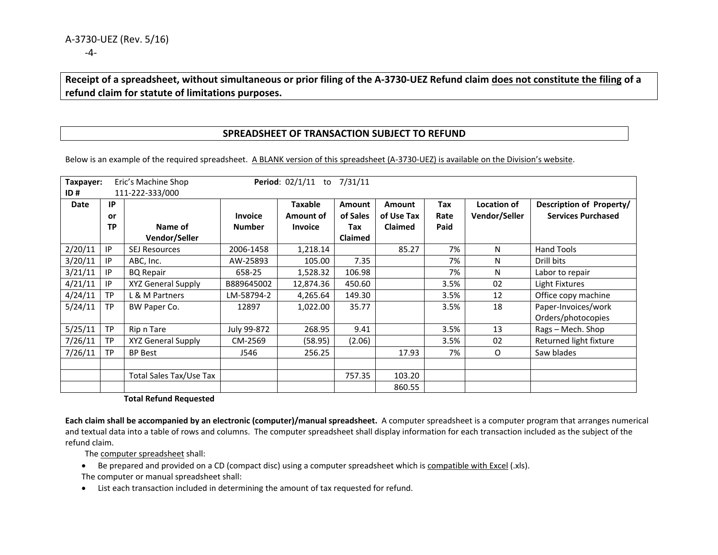# Receipt of a spreadsheet, without simultaneous or prior filing of the A-3730-UEZ Refund claim does not constitute the filing of a **refund claim for statute of limitations purposes.**

# **SPREADSHEET OF TRANSACTION SUBJECT TO REFUND**

Below is an example of the required spreadsheet. A BLANK version of this spreadsheet (A-3730-UEZ) is available on the Division's website.

| Taxpayer:<br>Period: 02/1/11 to 7/31/11<br>Eric's Machine Shop<br>111-222-333/000<br>ID# |           |                           |                |                             |                           |                             |             |                              |                                                       |
|------------------------------------------------------------------------------------------|-----------|---------------------------|----------------|-----------------------------|---------------------------|-----------------------------|-------------|------------------------------|-------------------------------------------------------|
| Date                                                                                     | IP<br>or  |                           | <b>Invoice</b> | <b>Taxable</b><br>Amount of | <b>Amount</b><br>of Sales | <b>Amount</b><br>of Use Tax | Tax<br>Rate | Location of<br>Vendor/Seller | Description of Property/<br><b>Services Purchased</b> |
|                                                                                          | <b>TP</b> | Name of                   | <b>Number</b>  | <b>Invoice</b>              | Tax                       | <b>Claimed</b>              | Paid        |                              |                                                       |
|                                                                                          |           | Vendor/Seller             |                |                             | <b>Claimed</b>            |                             |             |                              |                                                       |
| 2/20/11                                                                                  | IP        | <b>SEJ Resources</b>      | 2006-1458      | 1,218.14                    |                           | 85.27                       | 7%          | N                            | <b>Hand Tools</b>                                     |
| 3/20/11                                                                                  | IP        | ABC, Inc.                 | AW-25893       | 105.00                      | 7.35                      |                             | 7%          | N                            | Drill bits                                            |
| 3/21/11                                                                                  | IP        | <b>BQ Repair</b>          | 658-25         | 1,528.32                    | 106.98                    |                             | 7%          | N                            | Labor to repair                                       |
| 4/21/11                                                                                  | IP        | <b>XYZ General Supply</b> | B889645002     | 12,874.36                   | 450.60                    |                             | 3.5%        | 02                           | Light Fixtures                                        |
| 4/24/11                                                                                  | <b>TP</b> | L & M Partners            | LM-58794-2     | 4,265.64                    | 149.30                    |                             | 3.5%        | 12                           | Office copy machine                                   |
| 5/24/11                                                                                  | <b>TP</b> | BW Paper Co.              | 12897          | 1,022.00                    | 35.77                     |                             | 3.5%        | 18                           | Paper-Invoices/work                                   |
|                                                                                          |           |                           |                |                             |                           |                             |             |                              | Orders/photocopies                                    |
| 5/25/11                                                                                  | <b>TP</b> | Rip n Tare                | July 99-872    | 268.95                      | 9.41                      |                             | 3.5%        | 13                           | Rags - Mech. Shop                                     |
| 7/26/11                                                                                  | <b>TP</b> | <b>XYZ General Supply</b> | CM-2569        | (58.95)                     | (2.06)                    |                             | 3.5%        | 02                           | Returned light fixture                                |
| 7/26/11                                                                                  | <b>TP</b> | <b>BP Best</b>            | J546           | 256.25                      |                           | 17.93                       | 7%          | O                            | Saw blades                                            |
|                                                                                          |           |                           |                |                             |                           |                             |             |                              |                                                       |
|                                                                                          |           | Total Sales Tax/Use Tax   |                |                             | 757.35                    | 103.20                      |             |                              |                                                       |
|                                                                                          |           |                           |                |                             |                           | 860.55                      |             |                              |                                                       |

#### **Total Refund Requested**

**Each claim shall be accompanied by an electronic (computer)/manual spreadsheet.** A computer spreadsheet is <sup>a</sup> computer program that arranges numerical and textual data into <sup>a</sup> table of rows and columns. The computer spreadsheet shall display information for each transaction included as the subject of the refund claim.

The <u>computer spreadsheet</u> shall:

- Be prepared and provided on a CD (compact disc) using a computer spreadsheet which is compatible with Excel (.xls). The computer or manual spreadsheet shall:
- List each transaction included in determining the amount of tax requested for refund.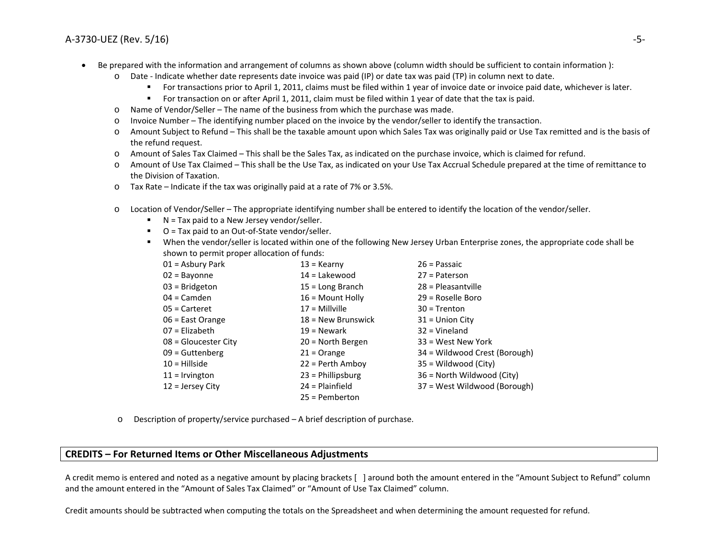#### A-3730-UEZ (Rev. 5/16) (Rev. 5/16) ‐5‐

- $\bullet$ • Be prepared with the information and arrangement of columns as shown above (column width should be sufficient to contain information):
	- o Date ‐ Indicate whether date represents date invoice was paid (IP) or date tax was paid (TP) in column next to date.
		- For transactions prior to April 1, 2011, claims must be filed within 1 year of invoice date or invoice paid date, whichever is later.
		- For transaction on or after April 1, 2011, claim must be filed within 1 year of date that the tax is paid.
	- oName of Vendor/Seller – The name of the business from which the purchase was made.
	- oInvoice Number – The identifying number placed on the invoice by the vendor/seller to identify the transaction.
	- o Amount Subject to Refund – This shall be the taxable amount upon which Sales Tax was originally paid or Use Tax remitted and is the basis of the refund request.
	- o Amount of Sales Tax Claimed This shall be the Sales Tax, as indicated on the purchase invoice, which is claimed for refund.
	- o Amount of Use Tax Claimed – This shall be the Use Tax, as indicated on your Use Tax Accrual Schedule prepared at the time of remittance to the Division of Taxation.
	- o Tax Rate Indicate if the tax was originally paid at <sup>a</sup> rate of 7% or 3.5%.
	- o Location of Vendor/Seller – The appropriate identifying number shall be entered to identify the location of the vendor/seller.
		- N = Tax paid to a New Jersey vendor/seller.
		- O = Tax paid to an Out-of-State vendor/seller.
		- When the vendor/seller is located within one of the following New Jersey Urban Enterprise zones, the appropriate code shall be shown to permit proper allocation of funds:

| 01 = Asbury Park       | $13 =$ Kearny        | $26$ = Passaic                |
|------------------------|----------------------|-------------------------------|
| $02 =$ Bayonne         | $14 =$ Lakewood      | $27$ = Paterson               |
| $03$ = Bridgeton       | $15 = Long Branch$   | $28$ = Pleasantville          |
| $04 =$ Camden          | $16$ = Mount Holly   | 29 = Roselle Boro             |
| $05$ = Carteret        | $17 =$ Millville     | $30 =$ Trenton                |
| $06$ = East Orange     | $18 =$ New Brunswick | $31$ = Union City             |
| $07$ = Elizabeth       | $19 =$ Newark        | $32 =$ Vineland               |
| $08$ = Gloucester City | 20 = North Bergen    | 33 = West New York            |
| $09$ = Guttenberg      | $21 =$ Orange        | 34 = Wildwood Crest (Borough) |
| $10 =$ Hillside        | $22 =$ Perth Amboy   | 35 = Wildwood (City)          |
| $11 =$ Irvington       | $23$ = Phillipsburg  | 36 = North Wildwood (City)    |
| $12$ = Jersey City     | $24$ = Plainfield    | 37 = West Wildwood (Borough)  |
|                        | $25 =$ Pemberton     |                               |

oDescription of property/service purchased – A brief description of purchase.

# **CREDITS – For Returned Items or Other Miscellaneous Adjustments**

A credit memo is entered and noted as <sup>a</sup> negative amount by placing brackets [ ] around both the amount entered in the "Amount Subject to Refund" column and the amount entered in the "Amount of Sales Tax Claimed" or "Amount of Use Tax Claimed" column.

Credit amounts should be subtracted when computing the totals on the Spreadsheet and when determining the amount requested for refund.